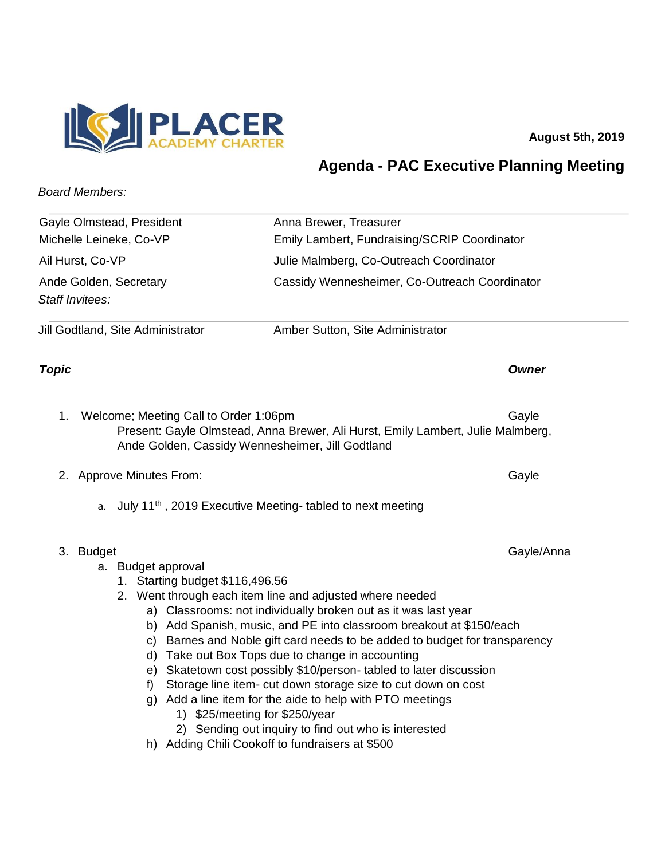

**August 5th, 2019** 

## **Agenda - PAC Executive Planning Meeting**

## *Board Members:*

| Gayle Olmstead, President                                                                                                    | Anna Brewer, Treasurer                                                                                                                                                                                                                                                                                                                                                                                                                                                                                                                                                                                                                                |
|------------------------------------------------------------------------------------------------------------------------------|-------------------------------------------------------------------------------------------------------------------------------------------------------------------------------------------------------------------------------------------------------------------------------------------------------------------------------------------------------------------------------------------------------------------------------------------------------------------------------------------------------------------------------------------------------------------------------------------------------------------------------------------------------|
| Michelle Leineke, Co-VP                                                                                                      | Emily Lambert, Fundraising/SCRIP Coordinator                                                                                                                                                                                                                                                                                                                                                                                                                                                                                                                                                                                                          |
| Ail Hurst, Co-VP                                                                                                             | Julie Malmberg, Co-Outreach Coordinator                                                                                                                                                                                                                                                                                                                                                                                                                                                                                                                                                                                                               |
| Ande Golden, Secretary<br>Staff Invitees:                                                                                    | Cassidy Wennesheimer, Co-Outreach Coordinator                                                                                                                                                                                                                                                                                                                                                                                                                                                                                                                                                                                                         |
| Jill Godtland, Site Administrator                                                                                            | Amber Sutton, Site Administrator                                                                                                                                                                                                                                                                                                                                                                                                                                                                                                                                                                                                                      |
| Topic                                                                                                                        | <b>Owner</b>                                                                                                                                                                                                                                                                                                                                                                                                                                                                                                                                                                                                                                          |
| Welcome; Meeting Call to Order 1:06pm<br>1.<br>Ande Golden, Cassidy Wennesheimer, Jill Godtland                              | Gayle<br>Present: Gayle Olmstead, Anna Brewer, Ali Hurst, Emily Lambert, Julie Malmberg,                                                                                                                                                                                                                                                                                                                                                                                                                                                                                                                                                              |
| 2. Approve Minutes From:                                                                                                     | Gayle                                                                                                                                                                                                                                                                                                                                                                                                                                                                                                                                                                                                                                                 |
| а.                                                                                                                           | July 11 <sup>th</sup> , 2019 Executive Meeting- tabled to next meeting                                                                                                                                                                                                                                                                                                                                                                                                                                                                                                                                                                                |
| 3. Budget<br>a. Budget approval<br>1. Starting budget \$116,496.56<br>C)<br>d)<br>e)<br>f)<br>1) \$25/meeting for \$250/year | Gayle/Anna<br>2. Went through each item line and adjusted where needed<br>a) Classrooms: not individually broken out as it was last year<br>b) Add Spanish, music, and PE into classroom breakout at \$150/each<br>Barnes and Noble gift card needs to be added to budget for transparency<br>Take out Box Tops due to change in accounting<br>Skatetown cost possibly \$10/person-tabled to later discussion<br>Storage line item- cut down storage size to cut down on cost<br>g) Add a line item for the aide to help with PTO meetings<br>2) Sending out inquiry to find out who is interested<br>h) Adding Chili Cookoff to fundraisers at \$500 |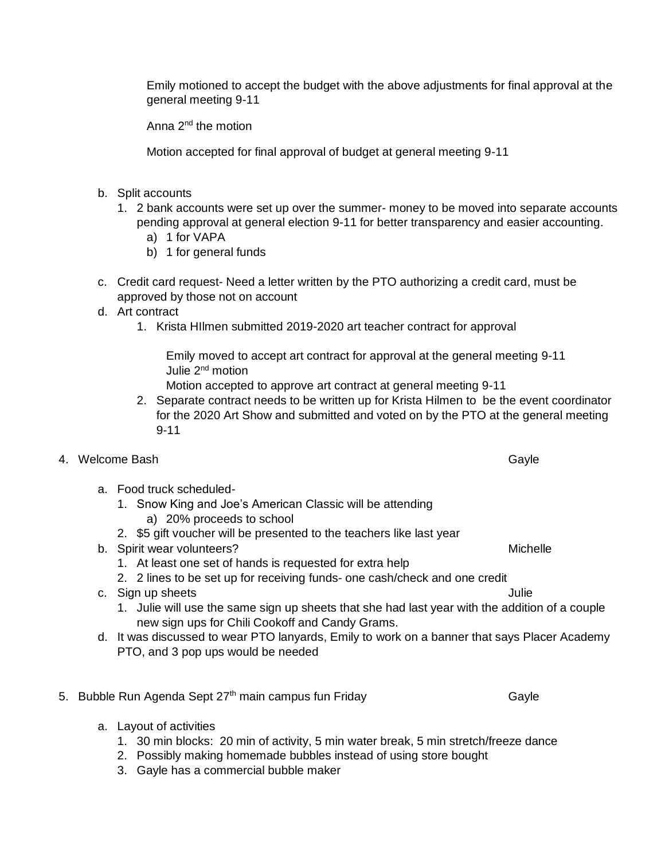Emily motioned to accept the budget with the above adjustments for final approval at the general meeting 9-11

Anna  $2^{nd}$  the motion

Motion accepted for final approval of budget at general meeting 9-11

- b. Split accounts
	- 1. 2 bank accounts were set up over the summer- money to be moved into separate accounts pending approval at general election 9-11 for better transparency and easier accounting.
		- a) 1 for VAPA
		- b) 1 for general funds
- c. Credit card request- Need a letter written by the PTO authorizing a credit card, must be approved by those not on account
- d. Art contract
	- 1. Krista HIlmen submitted 2019-2020 art teacher contract for approval

Emily moved to accept art contract for approval at the general meeting 9-11 Julie 2<sup>nd</sup> motion

Motion accepted to approve art contract at general meeting 9-11

- 2. Separate contract needs to be written up for Krista Hilmen to be the event coordinator for the 2020 Art Show and submitted and voted on by the PTO at the general meeting 9-11
- 4. Welcome Bash Gayle Controller with the controller of the Gayle Gayle
	- a. Food truck scheduled-
		- 1. Snow King and Joe's American Classic will be attending
			- a) 20% proceeds to school
		- 2. \$5 gift voucher will be presented to the teachers like last year
	- b. Spirit wear volunteers? Michelle was a state of the state of the Michelle
		- 1. At least one set of hands is requested for extra help
		- 2. 2 lines to be set up for receiving funds- one cash/check and one credit
	- c. Sign up sheets Julie
		- 1. Julie will use the same sign up sheets that she had last year with the addition of a couple new sign ups for Chili Cookoff and Candy Grams.
	- d. It was discussed to wear PTO lanyards, Emily to work on a banner that says Placer Academy PTO, and 3 pop ups would be needed
- 5. Bubble Run Agenda Sept  $27<sup>th</sup>$  main campus fun Friday  $\qquad \qquad \qquad$  Gayle
	- a. Layout of activities
		- 1. 30 min blocks: 20 min of activity, 5 min water break, 5 min stretch/freeze dance
		- 2. Possibly making homemade bubbles instead of using store bought
		- 3. Gayle has a commercial bubble maker